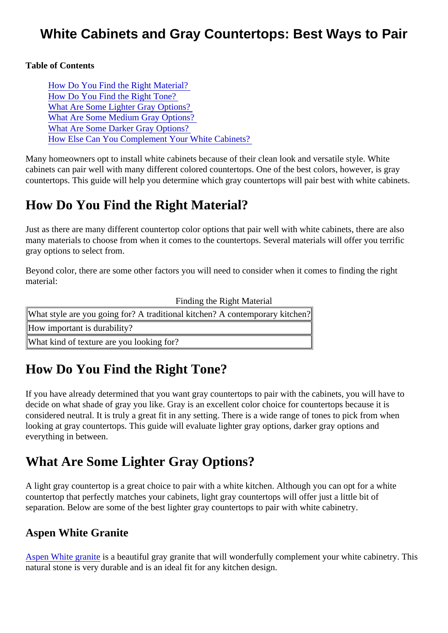## White Cabinets and Gray Countertops: Best Ways to Pair

Table of Contents

How Do You Find the Right Material? How Do You Find the Right Tone? What Are Some Lighter Gray Options? [What Are Some Medium Gray Option](#page-1-0)s? [What Are Some Darker Gray Option](#page-1-0)s? [How Else Can You Complement Your White Cabine](#page-2-0)ts?

Many homeowners opt to install white cabinets because of their clean look and versatile style. White cabinets can pair well with many different colored countertops. One of the best colors, however, is gray countertops. This guide will help you determine which gray countertops will pair best with white cabinets.

## How Do You Find the Right Material?

Just as there are many different countertop color options that pair well with white cabinets, there are also many materials to choose from when it comes to the countertops. Several materials will offer you terrific gray options to select from.

Beyond color, there are some other factors you will need to consider when it comes to finding the right material:

| <b>Finding the Right Material</b>                                            |  |
|------------------------------------------------------------------------------|--|
| What style are you going for? A traditional kitchen? A contemporary kit¢hen? |  |
| How important is durability?                                                 |  |
| What kind of texture are you looking for?                                    |  |

# How Do You Find the Right Tone?

If you have already determined that you want gray countertops to pair with the cabinets, you will have to decide on what shade of gray you like. Gray is an excellent color choice for countertops because it is considered neutral. It is truly a great fit in any setting. There is a wide range of tones to pick from when looking at gray countertops. This guide will evaluate lighter gray options, darker gray options and everything in between.

## What Are Some Lighter Gray Options?

A light gray countertop is a great choice to pair with a white kitchen. Although you can opt for a white countertop that perfectly matches your cabinets, light gray countertops will offer just a little bit of separation. Below are some of the best lighter gray countertops to pair with white cabinetry.

### Aspen White Granite

[Aspen White granit](https://marble.com/granite-countertops/aspen-white/68)ies a beautiful gray granite that will wonderfully complement your white cabinetry. This natural stone is very durable and is an ideal fit for any kitchen design.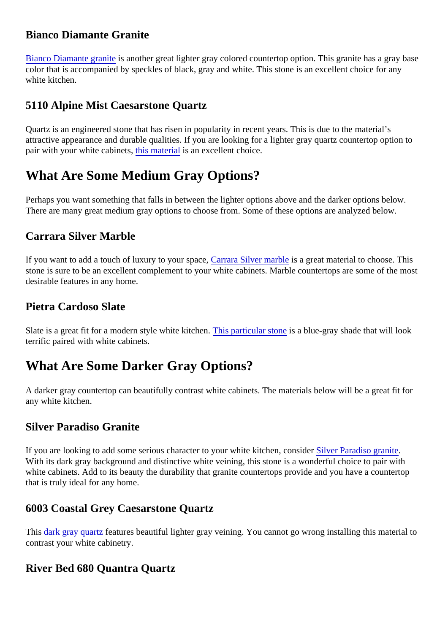### <span id="page-1-0"></span>Bianco Diamante Granite

[Bianco Diamante grani](https://marble.com/granite-countertops/bianco-diamante/199)tisanother great lighter gray colored countertop option. This granite has a gray base color that is accompanied by speckles of black, gray and white. This stone is an excellent choice for any white kitchen.

### 5110 Alpine Mist Caesarstone Quartz

Quartz is an engineered stone that has risen in popularity in recent years. This is due to the material's attractive appearance and durable qualities. If you are looking for a lighter gray quartz countertop option to pairwith your white cabinetshis materials an excellent choice.

## What Are Some Medium Gray Options?

Perhaps you want something that falls in between the lighter options above and the darker options below. There are many great medium gray options to choose from. Some of these options are analyzed below.

#### Carrara Silver Marble

If you want to add a touch of luxury to your space grate. Silver marbles a great material to choose. This stone is sure to be an excellent complement to your white cabinets. Marble countertops are some of the m desirable features in any home.

### Pietra Cardoso Slate

Slate is a great fit for a modern style white kitchen is particular stones a blue-gray shade that will look terrific paired with white cabinets.

## What Are Some Darker Gray Options?

A darker gray countertop can beautifully contrast white cabinets. The materials below will be a great fit for any white kitchen.

#### Silver Paradiso Granite

If you are looking to add some serious character to your white kitchen, construction granite With its dark gray background and distinctive white veining, this stone is a wonderful choice to pair with white cabinets. Add to its beauty the durability that granite countertops provide and you have a countertop that is truly ideal for any home.

#### 6003 Coastal Grey Caesarstone Quartz

This [dark gray quart](https://marble.com/quartz-countertops/6003-coastal-grey-caesarstone/841)izeaturesbeautiful lighter gray veining. You cannot go wrong installing this material to contrast your white cabinetry.

#### River Bed 680 Quantra Quartz